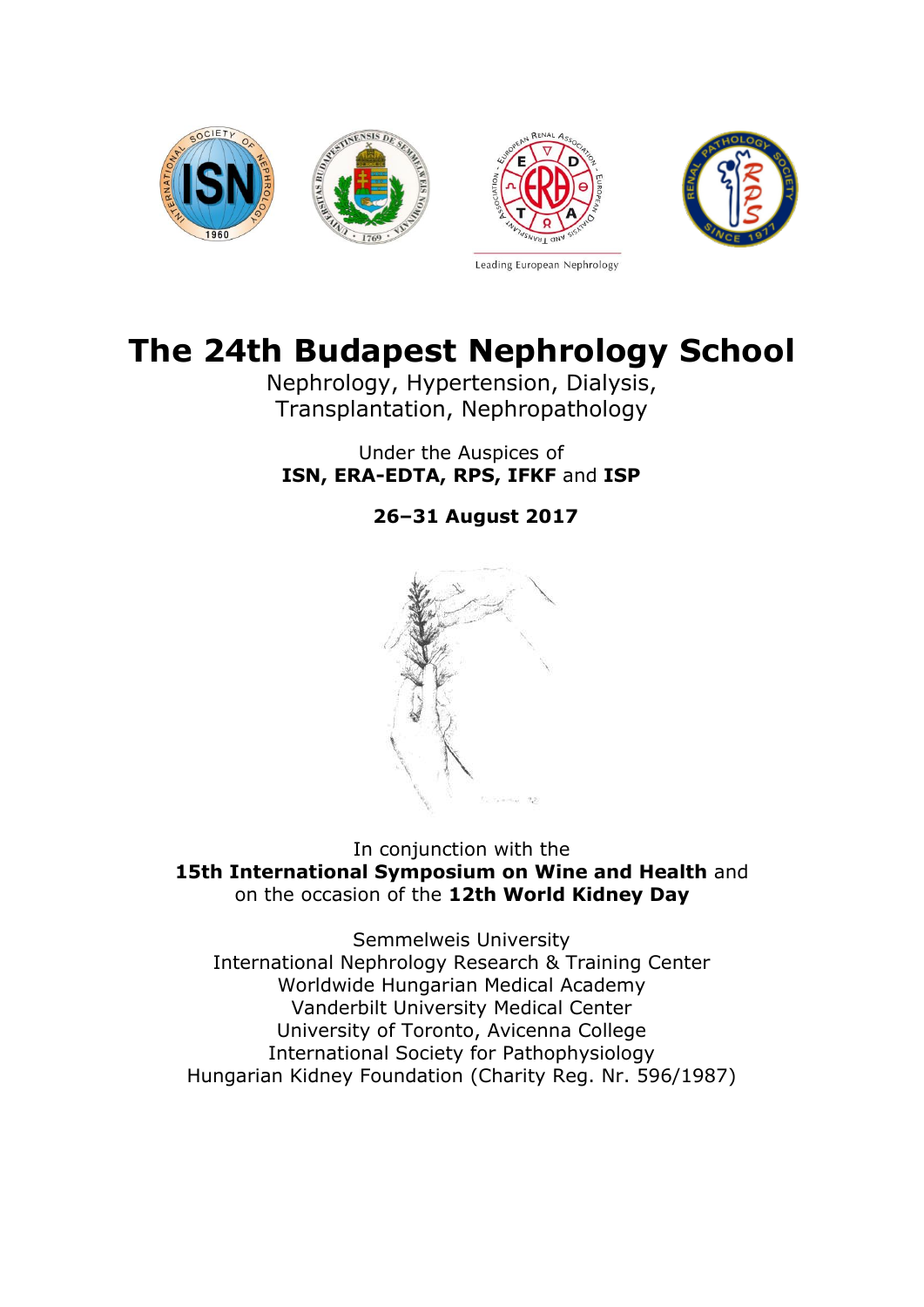

# **The 24th Budapest Nephrology School**

Nephrology, Hypertension, Dialysis, Transplantation, Nephropathology

Under the Auspices of **ISN, ERA-EDTA, RPS, IFKF** and **ISP**

**26–31 August 2017**



In conjunction with the **15th International Symposium on Wine and Health** and on the occasion of the **12th World Kidney Day**

Semmelweis University International Nephrology Research & Training Center Worldwide Hungarian Medical Academy Vanderbilt University Medical Center University of Toronto, Avicenna College International Society for Pathophysiology Hungarian Kidney Foundation (Charity Reg. Nr. 596/1987)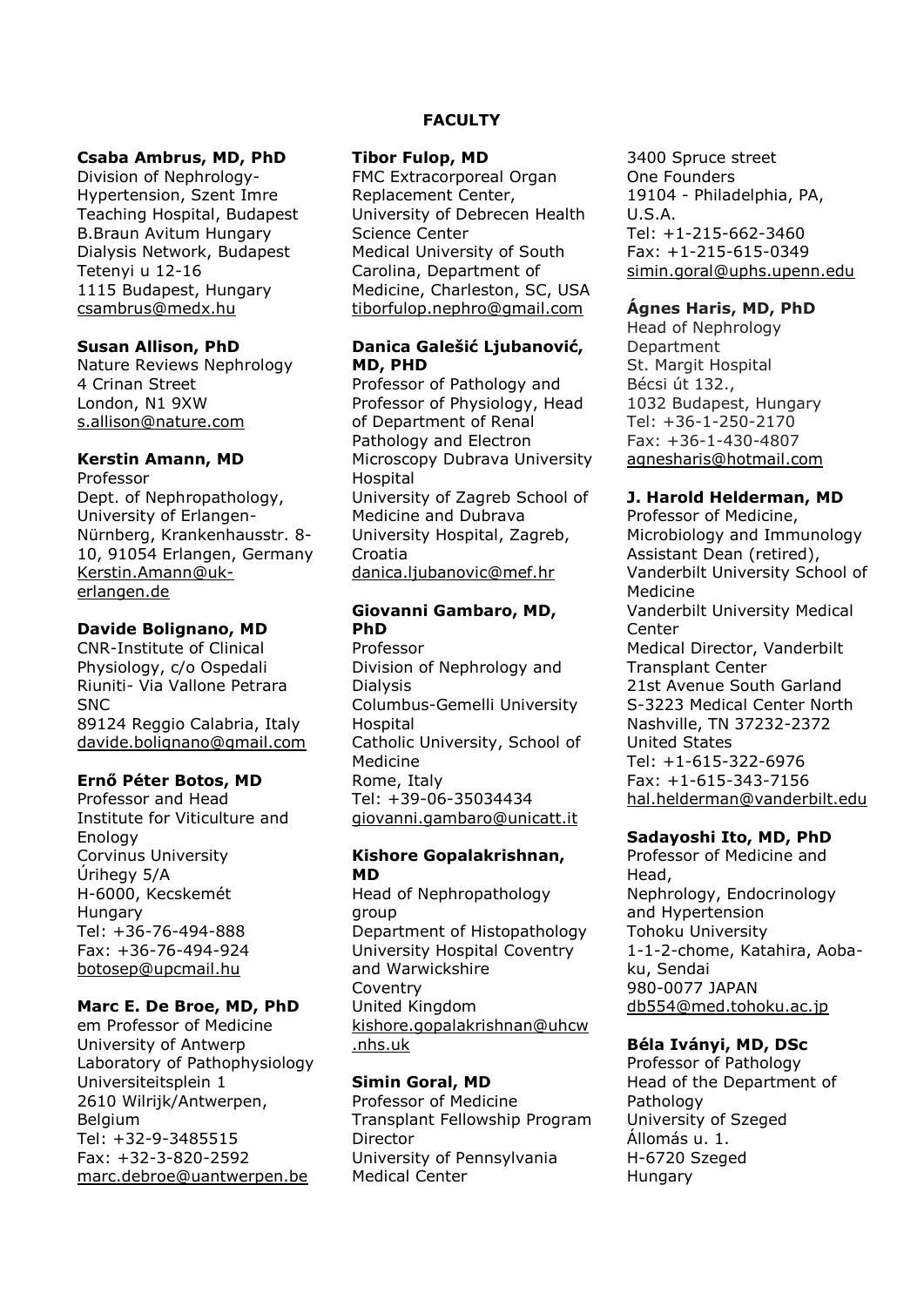#### **Csaba Ambrus, MD, PhD**

Division of Nephrology-Hypertension, Szent Imre Teaching Hospital, Budapest B.Braun Avitum Hungary Dialysis Network, Budapest Tetenyi u 12-16 1115 Budapest, Hungary [csambrus@medx.hu](mailto:csambrus@medx.hu)

#### **Susan Allison, PhD**

Nature Reviews Nephrology 4 Crinan Street London, N1 9XW [s.allison@nature.com](mailto:s.allison@nature.com)

# **Kerstin Amann, MD**

Professor Dept. of Nephropathology, University of Erlangen-Nürnberg, Krankenhausstr. 8- 10, 91054 Erlangen, Germany [Kerstin.Amann@uk](mailto:Kerstin.Amann@uk-erlangen.de)[erlangen.de](mailto:Kerstin.Amann@uk-erlangen.de)

# **Davide Bolignano, MD**

CNR-Institute of Clinical Physiology, c/o Ospedali Riuniti- Via Vallone Petrara **SNC** 89124 Reggio Calabria, Italy [davide.bolignano@gmail.com](mailto:davide.bolignano@gmail.com)

#### **Ernő Péter Botos, MD**

Professor and Head Institute for Viticulture and Enology Corvinus University Úrihegy 5/A H-6000, Kecskemét Hungary Tel: +36-76-494-888 Fax: +36-76-494-924 [botosep@upcmail.hu](mailto:botosep@upcmail.hu)

#### **Marc E. De Broe, MD, PhD**

em Professor of Medicine University of Antwerp Laboratory of Pathophysiology Universiteitsplein 1 2610 Wilrijk/Antwerpen, **Belgium** Tel: +32-9-3485515 Fax: +32-3-820-2592 [marc.debroe@uantwerpen.be](mailto:marc.debroe@uantwerpen.be)

# **FACULTY**

#### **Tibor Fulop, MD**

FMC Extracorporeal Organ Replacement Center, University of Debrecen Health Science Center Medical University of South Carolina, Department of Medicine, Charleston, SC, USA [tiborfulop.nephro@gmail.com](mailto:tiborfulop.nephro@gmail.com)

#### **Danica Galešić Ljubanović, MD, PHD**

Professor of Pathology and Professor of Physiology, Head of Department of Renal Pathology and Electron Microscopy Dubrava University Hospital University of Zagreb School of Medicine and Dubrava University Hospital, Zagreb, Croatia [danica.ljubanovic@mef.hr](mailto:danica.ljubanovic@mef.hr)

# **Giovanni Gambaro, MD, PhD**

Professor Division of Nephrology and Dialysis Columbus-Gemelli University Hospital Catholic University, School of Medicine Rome, Italy Tel: +39-06-35034434 [giovanni.gambaro@unicatt.it](mailto:giovanni.gambaro@unicatt.it)

#### **Kishore Gopalakrishnan, MD**

Head of Nephropathology group Department of Histopathology University Hospital Coventry and Warwickshire Coventry United Kingdom [kishore.gopalakrishnan@uhcw](mailto:kishore.gopalakrishnan@uhcw.nhs.uk) [.nhs.uk](mailto:kishore.gopalakrishnan@uhcw.nhs.uk)

# **Simin Goral, MD**

Professor of Medicine Transplant Fellowship Program Director University of Pennsylvania Medical Center

3400 Spruce street One Founders 19104 - Philadelphia, PA, U.S.A. Tel: +1-215-662-3460 Fax: +1-215-615-0349 [simin.goral@uphs.upenn.edu](mailto:simin.goral@uphs.upenn.edu)

#### **Ágnes Haris, MD, PhD**

Head of Nephrology Department St. Margit Hospital Bécsi út 132., 1032 Budapest, Hungary Tel: +36-1-250-2170 Fax: +36-1-430-4807 [agnesharis@hotmail.com](mailto:agnesharis@hotmail.com)

#### **J. Harold Helderman, MD**

Professor of Medicine, Microbiology and Immunology Assistant Dean (retired), Vanderbilt University School of Medicine Vanderbilt University Medical Center Medical Director, Vanderbilt Transplant Center 21st Avenue South Garland S-3223 Medical Center North Nashville, TN 37232-2372 United States Tel: +1-615-322-6976 Fax: +1-615-343-7156 [hal.helderman@vanderbilt.edu](mailto:hal.helderman@vanderbilt.edu)

#### **Sadayoshi Ito, MD, PhD**

Professor of Medicine and Head, Nephrology, Endocrinology and Hypertension Tohoku University 1-1-2-chome, Katahira, Aobaku, Sendai 980-0077 JAPAN [db554@med.tohoku.ac.jp](mailto:db554@med.tohoku.ac.jp)

#### **Béla Iványi, MD, DSc**

Professor of Pathology Head of the Department of Pathology University of Szeged Állomás u. 1. H-6720 Szeged Hungary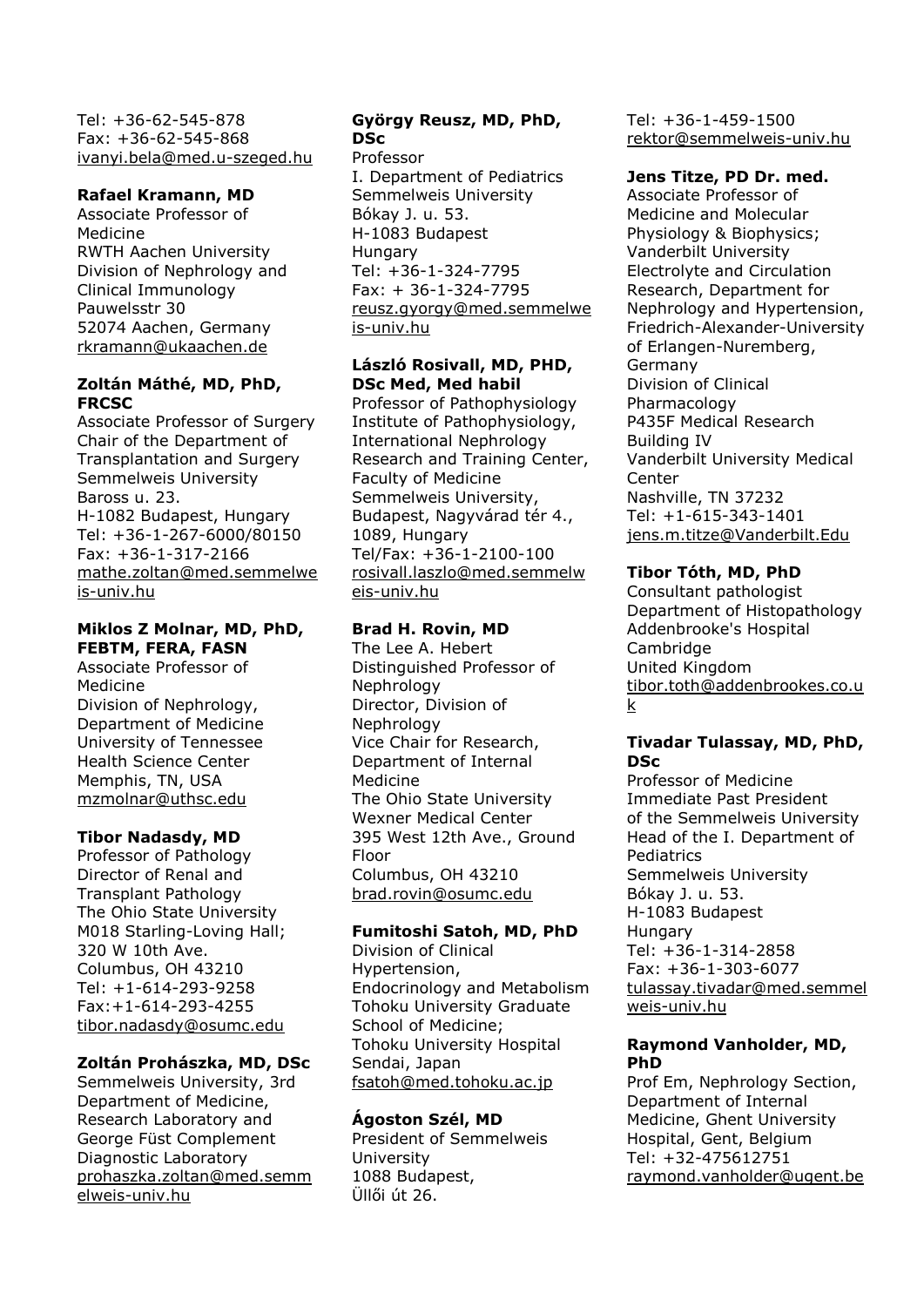Tel: +36-62-545-878 Fax: +36-62-545-868 [ivanyi.bela@med.u-szeged.hu](mailto:ivanyi.bela@med.u-szeged.hu)

#### **Rafael Kramann, MD**

Associate Professor of Medicine RWTH Aachen University Division of Nephrology and Clinical Immunology Pauwelsstr 30 52074 Aachen, Germany [rkramann@ukaachen.de](mailto:rkramann@ukaachen.de)

#### **Zoltán Máthé, MD, PhD, FRCSC**

Associate Professor of Surgery Chair of the Department of Transplantation and Surgery Semmelweis University Baross u. 23. H-1082 Budapest, Hungary Tel: +36-1-267-6000/80150 Fax: +36-1-317-2166 [mathe.zoltan@med.semmelwe](mailto:mathe.zoltan@med.semmelweis-univ.hu) [is-univ.hu](mailto:mathe.zoltan@med.semmelweis-univ.hu)

# **Miklos Z Molnar, MD, PhD,**

**FEBTM, FERA, FASN** Associate Professor of Medicine Division of Nephrology, Department of Medicine University of Tennessee Health Science Center Memphis, TN, USA [mzmolnar@uthsc.edu](mailto:mzmolnar@uthsc.edu)

# **Tibor Nadasdy, MD**

Professor of Pathology Director of Renal and Transplant Pathology The Ohio State University M018 Starling-Loving Hall; 320 W 10th Ave. Columbus, OH 43210 Tel: +1-614-293-9258 Fax:+1-614-293-4255 [tibor.nadasdy@osumc.edu](mailto:tibor.nadasdy@osumc.edu)

# **Zoltán Prohászka, MD, DSc**

Semmelweis University, 3rd Department of Medicine, Research Laboratory and George Füst Complement Diagnostic Laboratory [prohaszka.zoltan@med.semm](mailto:prohaszka.zoltan@med.semmelweis-univ.hu) [elweis-univ.hu](mailto:prohaszka.zoltan@med.semmelweis-univ.hu)

# **György Reusz, MD, PhD, DSc**

#### Professor

I. Department of Pediatrics Semmelweis University Bókay J. u. 53. H-1083 Budapest **Hungary** Tel: +36-1-324-7795 Fax: + 36-1-324-7795 [reusz.gyorgy@med.semmelwe](mailto:reusz.gyorgy@med.semmelweis-univ.hu) [is-univ.hu](mailto:reusz.gyorgy@med.semmelweis-univ.hu)

### **László Rosivall, MD, PHD, DSc Med, Med habil**

Professor of Pathophysiology Institute of Pathophysiology, International Nephrology Research and Training Center, Faculty of Medicine Semmelweis University, Budapest, Nagyvárad tér 4., 1089, Hungary Tel/Fax: +36-1-2100-100 [rosivall.laszlo@med.semmelw](mailto:rosivall.laszlo@med.semmelweis-univ.hu) [eis-univ.hu](mailto:rosivall.laszlo@med.semmelweis-univ.hu)

# **Brad H. Rovin, MD**

The Lee A. Hebert Distinguished Professor of Nephrology Director, Division of Nephrology Vice Chair for Research, Department of Internal Medicine The Ohio State University Wexner Medical Center 395 West 12th Ave., Ground Floor Columbus, OH 43210 [brad.rovin@osumc.edu](mailto:brad.rovin@osumc.edu)

# **Fumitoshi Satoh, MD, PhD**

Division of Clinical Hypertension, Endocrinology and Metabolism Tohoku University Graduate School of Medicine; Tohoku University Hospital Sendai, Japan [fsatoh@med.tohoku.ac.jp](mailto:fsatoh@med.tohoku.ac.jp)

# **Ágoston Szél, MD**

President of Semmelweis University 1088 Budapest, Üllői út 26.

Tel: +36-1-459-1500 [rektor@semmelweis-univ.hu](mailto:rektor@semmelweis-univ.hu)

# **Jens Titze, PD Dr. med.**

Associate Professor of Medicine and Molecular Physiology & Biophysics; Vanderbilt University Electrolyte and Circulation Research, Department for Nephrology and Hypertension, Friedrich-Alexander-University of Erlangen-Nuremberg, Germany Division of Clinical Pharmacology P435F Medical Research Building IV Vanderbilt University Medical Center Nashville, TN 37232 Tel: +1-615-343-1401 [jens.m.titze@Vanderbilt.Edu](mailto:jens.m.titze@Vanderbilt.Edu)

# **Tibor Tóth, MD, PhD**

Consultant pathologist Department of Histopathology Addenbrooke's Hospital Cambridge United Kingdom [tibor.toth@addenbrookes.co.u](mailto:tibor.toth@addenbrookes.co.uk) [k](mailto:tibor.toth@addenbrookes.co.uk)

#### **Tivadar Tulassay, MD, PhD, DSc**

Professor of Medicine Immediate Past President of the Semmelweis University Head of the I. Department of **Pediatrics** Semmelweis University Bókay J. u. 53. H-1083 Budapest **Hungary** Tel: +36-1-314-2858 Fax: +36-1-303-6077 [tulassay.tivadar@med.semmel](mailto:tulassay.tivadar@med.semmelweis-univ.hu) [weis-univ.hu](mailto:tulassay.tivadar@med.semmelweis-univ.hu)

#### **Raymond Vanholder, MD, PhD**

Prof Em, Nephrology Section, Department of Internal Medicine, Ghent University Hospital, Gent, Belgium Tel: +32-475612751 [raymond.vanholder@ugent.be](mailto:raymond.vanholder@ugent.be)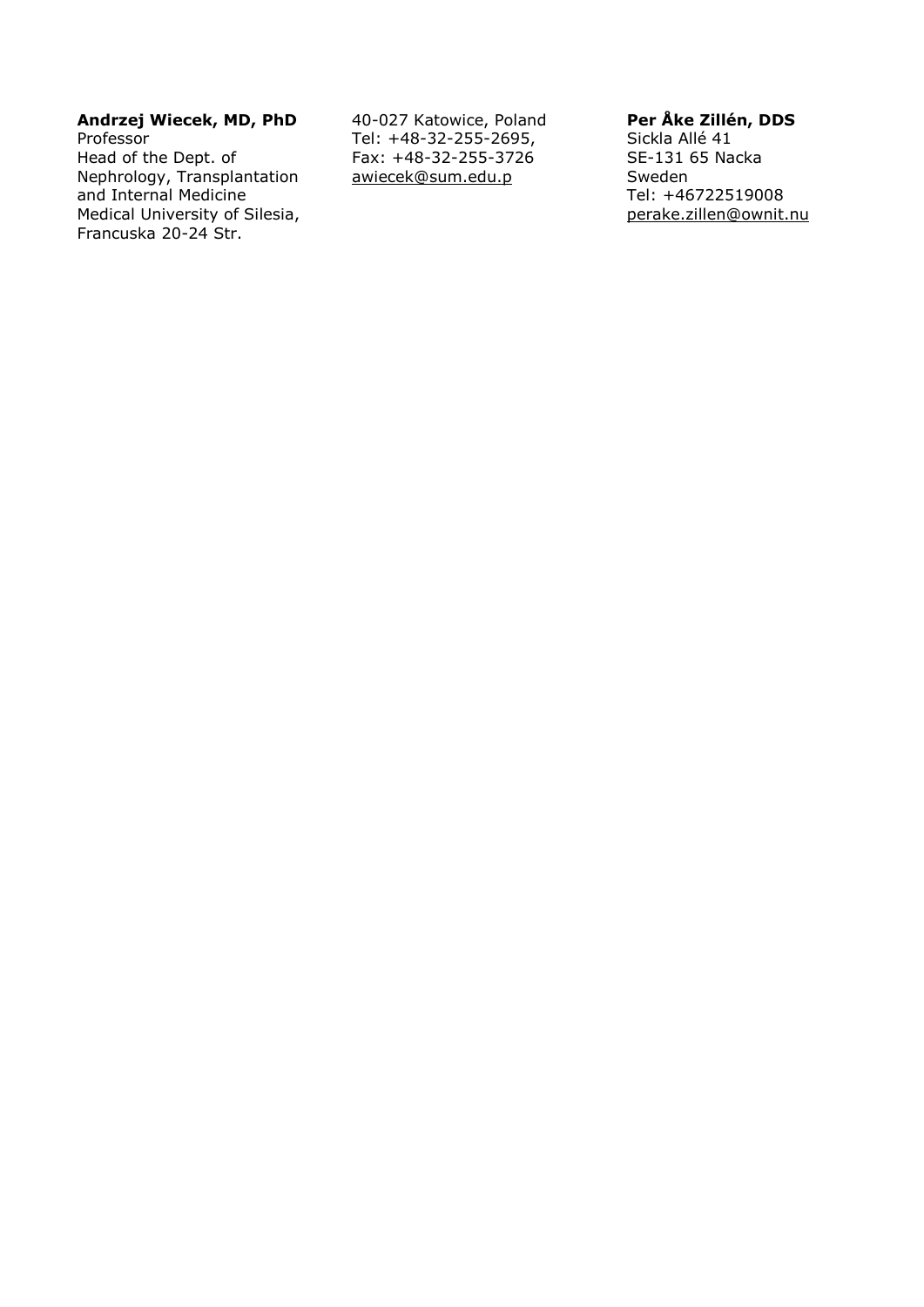#### **Andrzej Wiecek, MD, PhD** Professor

Head of the Dept. of Nephrology, Transplantation and Internal Medicine Medical University of Silesia, Francuska 20-24 Str.

40-027 Katowice, Poland Tel: +48-32-255-2695, Fax: +48-32-255-3726 [awiecek@sum.edu.p](mailto:awiecek@sum.edu.pl)

# **Per Åke Zillén, DDS**

Sickla Allé 41 SE-131 65 Nacka Sweden Tel: +46722519008 [perake.zillen@ownit.nu](mailto:perake.zillen@ownit.nu)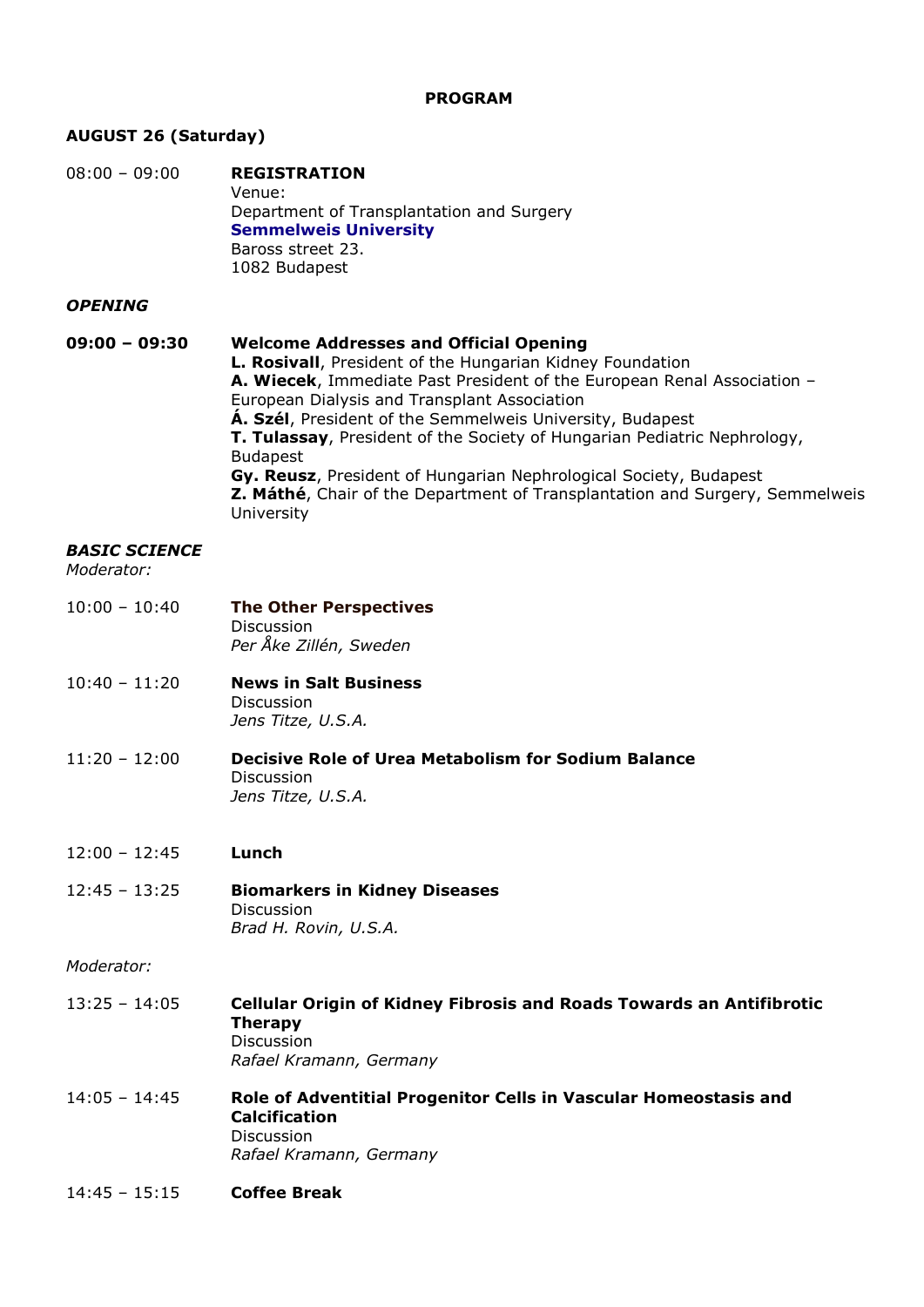#### **PROGRAM**

# **AUGUST 26 (Saturday)**

| $08:00 - 09:00$ | <b>REGISTRATION</b>                       |
|-----------------|-------------------------------------------|
|                 | Venue:                                    |
|                 | Department of Transplantation and Surgery |
|                 | <b>Semmelweis University</b>              |
|                 | Baross street 23.                         |
|                 | 1082 Budapest                             |

#### *OPENING*

#### **09:00 – 09:30 Welcome Addresses and Official Opening L. Rosivall**, President of the Hungarian Kidney Foundation **A. Wiecek**, Immediate Past President of the European Renal Association – European Dialysis and Transplant Association **Á. Szél**, President of the Semmelweis University, Budapest **T. Tulassay**, President of the Society of Hungarian Pediatric Nephrology, Budapest **Gy. Reusz**, President of Hungarian Nephrological Society, Budapest **Z. Máthé**, Chair of the Department of Transplantation and Surgery, Semmelweis University

#### *BASIC SCIENCE*

*Moderator:*

| $10:00 - 10:40$ | <b>The Other Perspectives</b> |
|-----------------|-------------------------------|
|                 | <b>Discussion</b>             |
|                 | Per Åke Zillén, Sweden        |

- 10:40 11:20 **News in Salt Business** Discussion *Jens Titze, U.S.A.*
- 11:20 12:00 **Decisive Role of Urea Metabolism for Sodium Balance** Discussion *Jens Titze, U.S.A.*

#### 12:00 – 12:45 **Lunch**

12:45 – 13:25 **Biomarkers in Kidney Diseases** Discussion *Brad H. Rovin, U.S.A.*

#### *Moderator:*

- 13:25 14:05 **Cellular Origin of Kidney Fibrosis and Roads Towards an Antifibrotic Therapy** Discussion *Rafael Kramann, Germany*
- 14:05 14:45 **Role of Adventitial Progenitor Cells in Vascular Homeostasis and Calcification** Discussion *Rafael Kramann, Germany*
- 14:45 15:15 **Coffee Break**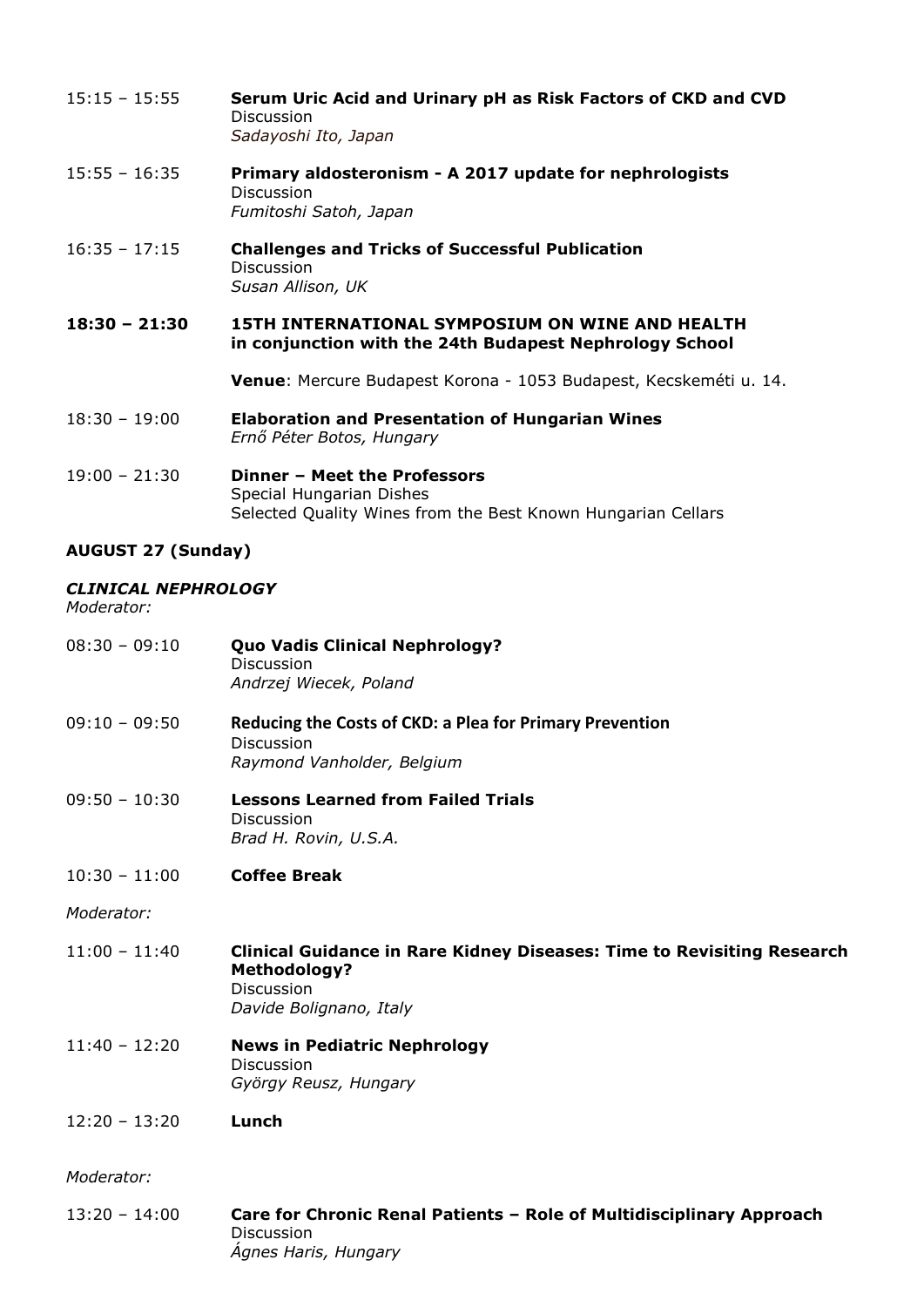- 15:15 15:55 **Serum Uric Acid and Urinary pH as Risk Factors of CKD and CVD** Discussion *Sadayoshi Ito, Japan*
- 15:55 16:35 **Primary aldosteronism - A 2017 update for nephrologists** Discussion *Fumitoshi Satoh, Japan*
- 16:35 17:15 **Challenges and Tricks of Successful Publication** Discussion *Susan Allison, UK*
- **18:30 – 21:30 15TH INTERNATIONAL SYMPOSIUM ON WINE AND HEALTH in conjunction with the 24th Budapest Nephrology School**

**Venue**: Mercure Budapest Korona - 1053 Budapest, Kecskeméti u. 14.

- 18:30 19:00 **Elaboration and Presentation of Hungarian Wines** *Ernő Péter Botos, Hungary*
- 19:00 21:30 **Dinner – Meet the Professors** Special Hungarian Dishes Selected Quality Wines from the Best Known Hungarian Cellars

# **AUGUST 27 (Sunday)**

# *CLINICAL NEPHROLOGY*

*Moderator:*

08:30 – 09:10 **Quo Vadis Clinical Nephrology?** Discussion *Andrzej Wiecek, Poland* 09:10 – 09:50 **Reducing the Costs of CKD: a Plea for Primary Prevention** Discussion *Raymond Vanholder, Belgium* 09:50 – 10:30 **Lessons Learned from Failed Trials** Discussion *Brad H. Rovin, U.S.A.* 10:30 – 11:00 **Coffee Break** *Moderator:*  11:00 – 11:40 **Clinical Guidance in Rare Kidney Diseases: Time to Revisiting Research Methodology?** Discussion *Davide Bolignano, Italy* 11:40 – 12:20 **News in Pediatric Nephrology**  Discussion *György Reusz, Hungary* 12:20 – 13:20 **Lunch** *Moderator:*  13:20 – 14:00 **Care for Chronic Renal Patients – Role of Multidisciplinary Approach** Discussion *Ágnes Haris, Hungary*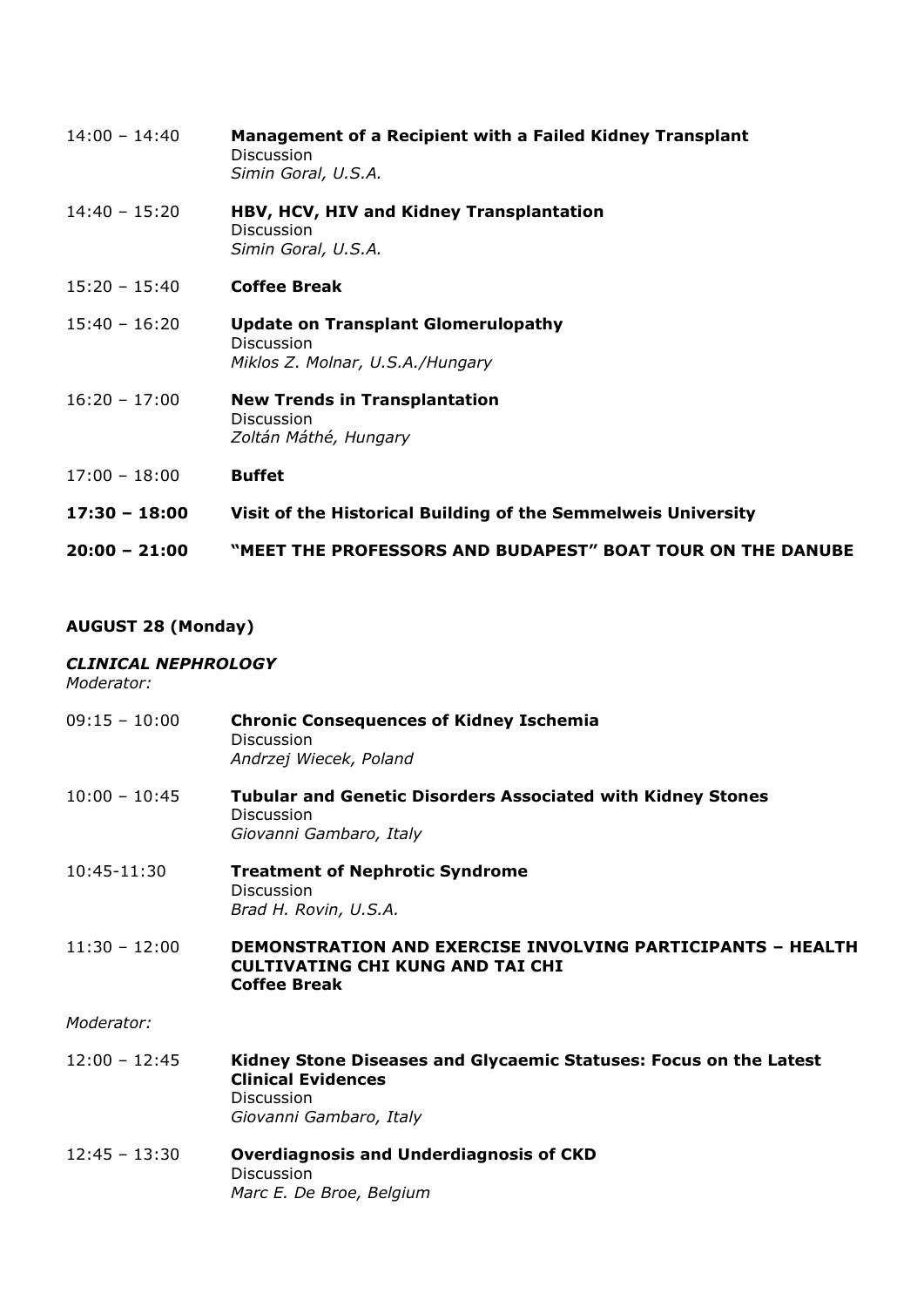| $14:00 - 14:40$ | Management of a Recipient with a Failed Kidney Transplant<br>Discussion<br>Simin Goral, U.S.A.      |
|-----------------|-----------------------------------------------------------------------------------------------------|
| $14:40 - 15:20$ | HBV, HCV, HIV and Kidney Transplantation<br><b>Discussion</b><br>Simin Goral, U.S.A.                |
| $15:20 - 15:40$ | <b>Coffee Break</b>                                                                                 |
| $15:40 - 16:20$ | <b>Update on Transplant Glomerulopathy</b><br><b>Discussion</b><br>Miklos Z. Molnar, U.S.A./Hungary |
| $16:20 - 17:00$ | <b>New Trends in Transplantation</b><br><b>Discussion</b><br>Zoltán Máthé, Hungary                  |
| $17:00 - 18:00$ | <b>Buffet</b>                                                                                       |
| $17:30 - 18:00$ | Visit of the Historical Building of the Semmelweis University                                       |
| $20:00 - 21:00$ | "MEET THE PROFESSORS AND BUDAPEST" BOAT TOUR ON THE DANUBE                                          |

# **AUGUST 28 (Monday)**

# *CLINICAL NEPHROLOGY*

*Moderator:* 

| $09:15 - 10:00$ | <b>Chronic Consequences of Kidney Ischemia</b><br><b>Discussion</b><br>Andrzej Wiecek, Poland                                                  |
|-----------------|------------------------------------------------------------------------------------------------------------------------------------------------|
| $10:00 - 10:45$ | <b>Tubular and Genetic Disorders Associated with Kidney Stones</b><br>Discussion<br>Giovanni Gambaro, Italy                                    |
| 10:45-11:30     | <b>Treatment of Nephrotic Syndrome</b><br><b>Discussion</b><br>Brad H. Rovin, U.S.A.                                                           |
| $11:30 - 12:00$ | <b>DEMONSTRATION AND EXERCISE INVOLVING PARTICIPANTS - HEALTH</b><br><b>CULTIVATING CHI KUNG AND TAI CHI</b><br><b>Coffee Break</b>            |
| Moderator:      |                                                                                                                                                |
| $12:00 - 12:45$ | Kidney Stone Diseases and Glycaemic Statuses: Focus on the Latest<br><b>Clinical Evidences</b><br><b>Discussion</b><br>Giovanni Gambaro, Italy |
| $12:45 - 13:30$ | <b>Overdiagnosis and Underdiagnosis of CKD</b><br>Discussion<br>Marc E. De Broe, Belgium                                                       |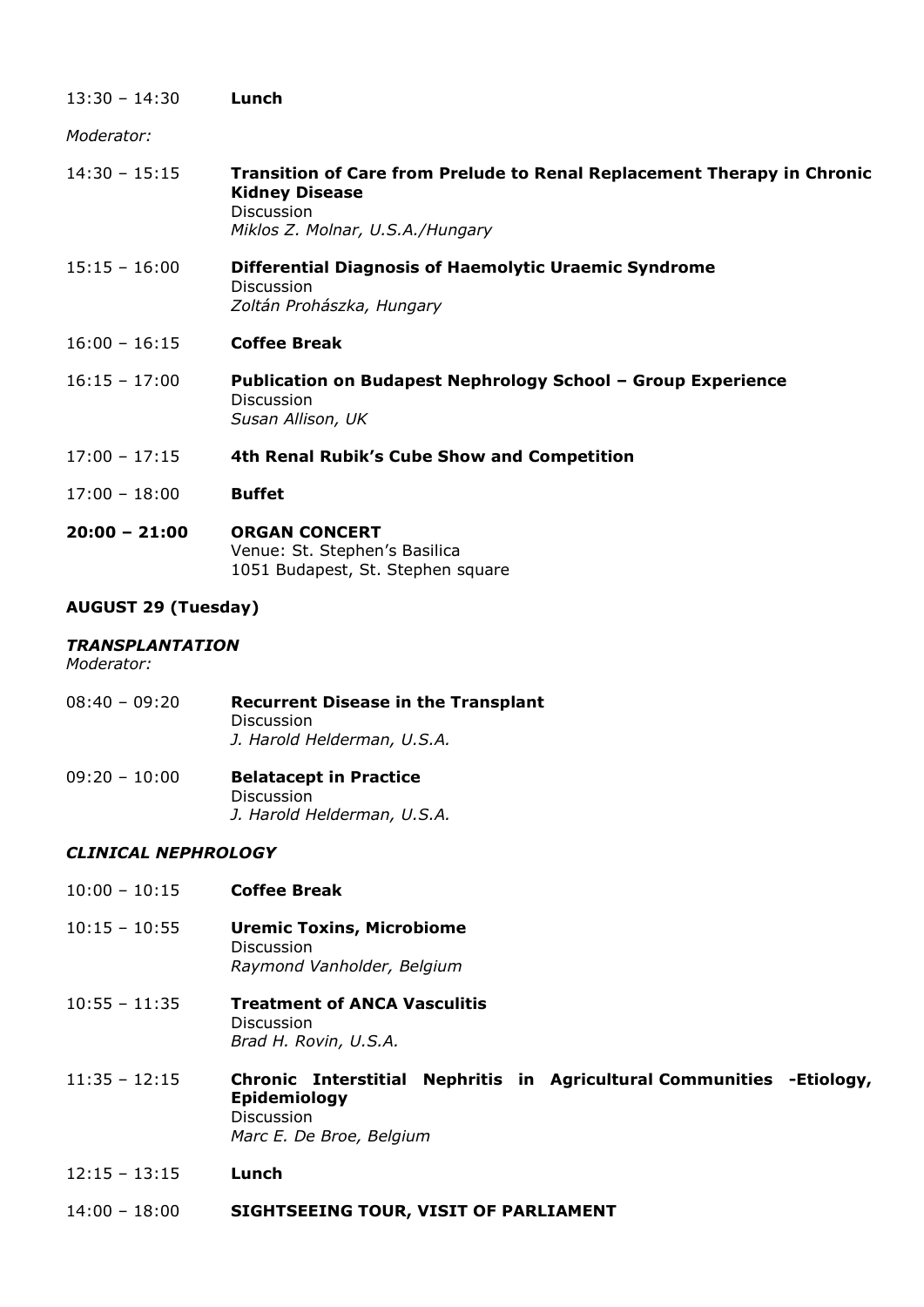| $13:30 - 14:30$ | Lunch                                                                                                                                                     |
|-----------------|-----------------------------------------------------------------------------------------------------------------------------------------------------------|
| Moderator:      |                                                                                                                                                           |
| $14:30 - 15:15$ | <b>Transition of Care from Prelude to Renal Replacement Therapy in Chronic</b><br><b>Kidney Disease</b><br>Discussion<br>Miklos Z. Molnar, U.S.A./Hungary |
| $15:15 - 16:00$ | <b>Differential Diagnosis of Haemolytic Uraemic Syndrome</b><br><b>Discussion</b><br>Zoltán Prohászka, Hungary                                            |
| $16:00 - 16:15$ | <b>Coffee Break</b>                                                                                                                                       |
| $16:15 - 17:00$ | <b>Publication on Budapest Nephrology School - Group Experience</b><br><b>Discussion</b><br>Susan Allison, UK                                             |
| $17:00 - 17:15$ | 4th Renal Rubik's Cube Show and Competition                                                                                                               |
| $17:00 - 18:00$ | <b>Buffet</b>                                                                                                                                             |
| $20:00 - 21:00$ | <b>ORGAN CONCERT</b><br>Venue: St. Stephen's Basilica<br>1051 Budapest, St. Stephen square                                                                |
|                 |                                                                                                                                                           |

# **AUGUST 29 (Tuesday)**

# *TRANSPLANTATION*

*Moderator:* 

- 08:40 09:20 **Recurrent Disease in the Transplant** Discussion *J. Harold Helderman, U.S.A.*
- 09:20 10:00 **Belatacept in Practice** Discussion *J. Harold Helderman, U.S.A.*

# *CLINICAL NEPHROLOGY*

- 10:00 10:15 **Coffee Break**
- 10:15 10:55 **Uremic Toxins, Microbiome** Discussion *Raymond Vanholder, Belgium*
- 10:55 11:35 **Treatment of ANCA Vasculitis** Discussion *Brad H. Rovin, U.S.A.*
- 11:35 12:15 **Chronic Interstitial Nephritis in Agricultural Communities -Etiology, Epidemiology** Discussion *Marc E. De Broe, Belgium*
- 12:15 13:15 **Lunch**
- 14:00 18:00 **SIGHTSEEING TOUR, VISIT OF PARLIAMENT**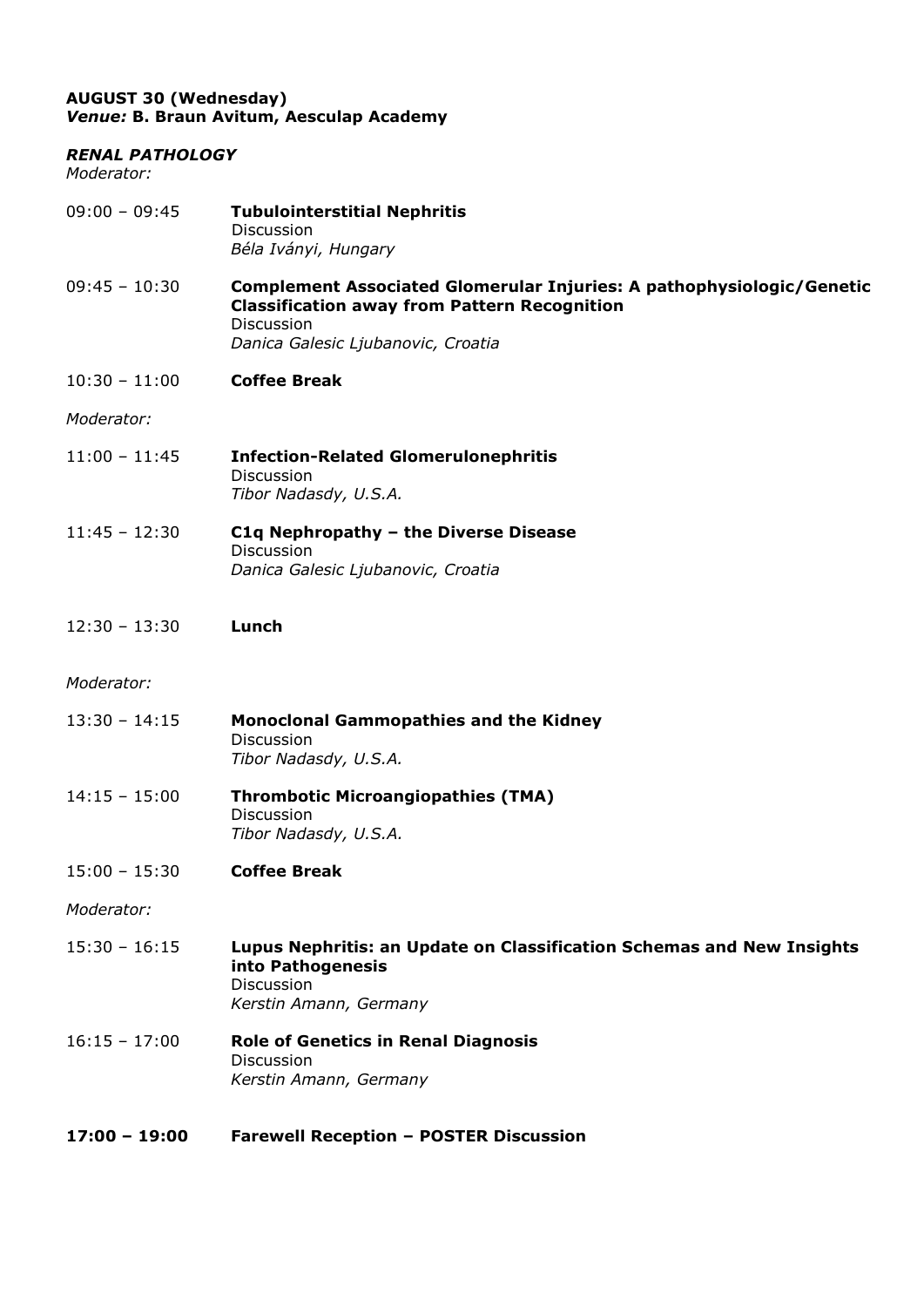# **AUGUST 30 (Wednesday)** *Venue:* **B. Braun Avitum, Aesculap Academy**

#### *RENAL PATHOLOGY*

*Moderator:* 

| $09:00 - 09:45$ | <b>Tubulointerstitial Nephritis</b><br>Discussion<br>Béla Iványi, Hungary                                                                                                        |
|-----------------|----------------------------------------------------------------------------------------------------------------------------------------------------------------------------------|
| $09:45 - 10:30$ | Complement Associated Glomerular Injuries: A pathophysiologic/Genetic<br><b>Classification away from Pattern Recognition</b><br>Discussion<br>Danica Galesic Ljubanovic, Croatia |
| $10:30 - 11:00$ | <b>Coffee Break</b>                                                                                                                                                              |
| Moderator:      |                                                                                                                                                                                  |
| $11:00 - 11:45$ | <b>Infection-Related Glomerulonephritis</b><br>Discussion<br>Tibor Nadasdy, U.S.A.                                                                                               |
| $11:45 - 12:30$ | C1q Nephropathy - the Diverse Disease<br>Discussion<br>Danica Galesic Ljubanovic, Croatia                                                                                        |
| $12:30 - 13:30$ | Lunch                                                                                                                                                                            |
| Moderator:      |                                                                                                                                                                                  |
| $13:30 - 14:15$ | <b>Monoclonal Gammopathies and the Kidney</b><br>Discussion<br>Tibor Nadasdy, U.S.A.                                                                                             |
| $14:15 - 15:00$ | <b>Thrombotic Microangiopathies (TMA)</b><br>Discussion<br>Tibor Nadasdy, U.S.A.                                                                                                 |
| $15:00 - 15:30$ | <b>Coffee Break</b>                                                                                                                                                              |
| Moderator:      |                                                                                                                                                                                  |
| $15:30 - 16:15$ | Lupus Nephritis: an Update on Classification Schemas and New Insights<br>into Pathogenesis<br>Discussion<br>Kerstin Amann, Germany                                               |
| $16:15 - 17:00$ | <b>Role of Genetics in Renal Diagnosis</b><br>Discussion<br>Kerstin Amann, Germany                                                                                               |

**17:00 – 19:00 Farewell Reception – POSTER Discussion**